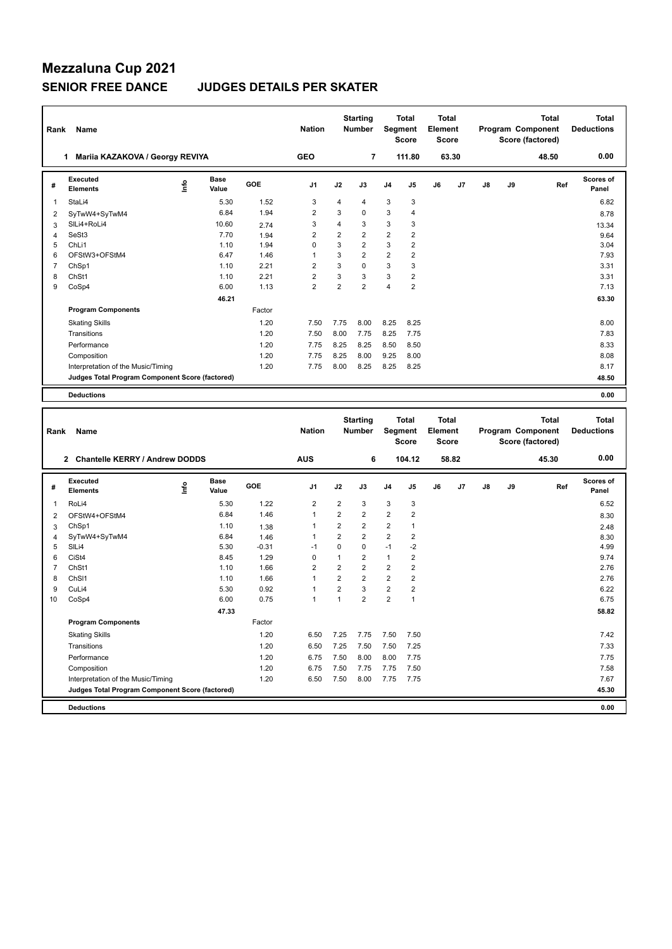### **Mezzaluna Cup 2021 SENIOR FREE DANCE JUDGES DETAILS PER SKATER**

| Rank           | Name                                            |      |                      |        | <b>Nation</b>  |                | <b>Starting</b><br>Number        | Segment        | <b>Total</b><br><b>Score</b> | <b>Total</b><br>Element<br><b>Score</b> |       |    |    | <b>Total</b><br>Program Component<br>Score (factored) | <b>Total</b><br><b>Deductions</b> |
|----------------|-------------------------------------------------|------|----------------------|--------|----------------|----------------|----------------------------------|----------------|------------------------------|-----------------------------------------|-------|----|----|-------------------------------------------------------|-----------------------------------|
|                | 1 Mariia KAZAKOVA / Georgy REVIYA               |      |                      |        | <b>GEO</b>     |                | $\overline{7}$                   |                | 111.80                       |                                         | 63.30 |    |    | 48.50                                                 | 0.00                              |
| #              | <b>Executed</b><br><b>Elements</b>              | ۴ů   | <b>Base</b><br>Value | GOE    | J <sub>1</sub> | J2             | J3                               | J4             | J <sub>5</sub>               | J6                                      | J7    | J8 | J9 | Ref                                                   | Scores of<br>Panel                |
| 1              | StaLi4                                          |      | 5.30                 | 1.52   | 3              | 4              | 4                                | 3              | 3                            |                                         |       |    |    |                                                       | 6.82                              |
| $\overline{2}$ | SyTwW4+SyTwM4                                   |      | 6.84                 | 1.94   | $\overline{2}$ | 3              | $\Omega$                         | 3              | $\overline{4}$               |                                         |       |    |    |                                                       | 8.78                              |
| 3              | SILi4+RoLi4                                     |      | 10.60                | 2.74   | 3              | 4              | 3                                | 3              | 3                            |                                         |       |    |    |                                                       | 13.34                             |
| $\overline{4}$ | SeSt3                                           |      | 7.70                 | 1.94   | $\overline{2}$ | $\overline{2}$ | $\overline{2}$                   | $\overline{2}$ | $\overline{2}$               |                                         |       |    |    |                                                       | 9.64                              |
| 5              | ChLi1                                           |      | 1.10                 | 1.94   | 0              | 3              | $\overline{2}$                   | 3              | $\overline{2}$               |                                         |       |    |    |                                                       | 3.04                              |
| 6              | OFStW3+OFStM4                                   |      | 6.47                 | 1.46   | 1              | 3              | $\overline{2}$                   | $\overline{2}$ | 2                            |                                         |       |    |    |                                                       | 7.93                              |
| $\overline{7}$ | ChSp1                                           |      | 1.10                 | 2.21   | $\overline{2}$ | 3              | $\Omega$                         | 3              | 3                            |                                         |       |    |    |                                                       | 3.31                              |
| 8              | ChSt1                                           |      | 1.10                 | 2.21   | 2              | 3              | 3                                | 3              | $\overline{2}$               |                                         |       |    |    |                                                       | 3.31                              |
| 9              | CoSp4                                           |      | 6.00                 | 1.13   | $\overline{2}$ | $\overline{2}$ | $\overline{2}$                   | $\overline{4}$ | $\overline{2}$               |                                         |       |    |    |                                                       | 7.13                              |
|                |                                                 |      | 46.21                |        |                |                |                                  |                |                              |                                         |       |    |    |                                                       | 63.30                             |
|                | <b>Program Components</b>                       |      |                      | Factor |                |                |                                  |                |                              |                                         |       |    |    |                                                       |                                   |
|                | <b>Skating Skills</b>                           |      |                      | 1.20   | 7.50           | 7.75           | 8.00                             | 8.25           | 8.25                         |                                         |       |    |    |                                                       | 8.00                              |
|                | Transitions                                     |      |                      | 1.20   | 7.50           | 8.00           | 7.75                             | 8.25           | 7.75                         |                                         |       |    |    |                                                       | 7.83                              |
|                | Performance                                     |      |                      | 1.20   | 7.75           | 8.25           | 8.25                             | 8.50           | 8.50                         |                                         |       |    |    |                                                       | 8.33                              |
|                | Composition                                     |      |                      | 1.20   | 7.75           | 8.25           | 8.00                             | 9.25           | 8.00                         |                                         |       |    |    |                                                       | 8.08                              |
|                | Interpretation of the Music/Timing              |      |                      | 1.20   | 7.75           | 8.00           | 8.25                             | 8.25           | 8.25                         |                                         |       |    |    |                                                       | 8.17                              |
|                | Judges Total Program Component Score (factored) |      |                      |        |                |                |                                  |                |                              |                                         |       |    |    |                                                       | 48.50                             |
|                | <b>Deductions</b>                               |      |                      |        |                |                |                                  |                |                              |                                         |       |    |    |                                                       | 0.00                              |
|                |                                                 |      |                      |        |                |                |                                  |                |                              |                                         |       |    |    |                                                       |                                   |
| Rank           | Name                                            |      |                      |        | <b>Nation</b>  |                | <b>Starting</b><br><b>Number</b> | <b>Segment</b> | <b>Total</b><br><b>Score</b> | <b>Total</b><br>Element<br><b>Score</b> |       |    |    | <b>Total</b><br>Program Component<br>Score (factored) | <b>Total</b><br><b>Deductions</b> |
|                | 2 Chantelle KERRY / Andrew DODDS                |      |                      |        | <b>AUS</b>     |                | 6                                |                | 104.12                       |                                         | 58.82 |    |    | 45.30                                                 | 0.00                              |
| #              | <b>Executed</b><br><b>Elements</b>              | lnfo | Base<br>Value        | GOE    | J1             | J2             | J3                               | J4             | J5                           | J6                                      | J7    | J8 | J9 | Ref                                                   | Scores of<br>Panel                |
| 1              | RoLi4                                           |      | 5.30                 | 1.22   | 2              | 2              | 3                                | 3              | 3                            |                                         |       |    |    |                                                       | 6.52                              |
| $\overline{2}$ | OFStW4+OFStM4                                   |      | 6.84                 | 1.46   | $\mathbf{1}$   | $\overline{2}$ | $\overline{2}$                   | $\overline{2}$ | $\overline{2}$               |                                         |       |    |    |                                                       | 8.30                              |
| 3              | ChSp1                                           |      | 1.10                 | 1.38   | 1              | $\overline{2}$ | $\overline{2}$                   | $\overline{2}$ | 1                            |                                         |       |    |    |                                                       | 248                               |

|    | <b>Deductions</b>                               |       |         |                |                |                |                |                | 0.00  |
|----|-------------------------------------------------|-------|---------|----------------|----------------|----------------|----------------|----------------|-------|
|    | Judges Total Program Component Score (factored) |       |         |                |                |                |                |                | 45.30 |
|    | Interpretation of the Music/Timing              |       | 1.20    | 6.50           | 7.50           | 8.00           | 7.75           | 7.75           | 7.67  |
|    | Composition                                     |       | 1.20    | 6.75           | 7.50           | 7.75           | 7.75           | 7.50           | 7.58  |
|    | Performance                                     |       | 1.20    | 6.75           | 7.50           | 8.00           | 8.00           | 7.75           | 7.75  |
|    | Transitions                                     |       | 1.20    | 6.50           | 7.25           | 7.50           | 7.50           | 7.25           | 7.33  |
|    | <b>Skating Skills</b>                           |       | 1.20    | 6.50           | 7.25           | 7.75           | 7.50           | 7.50           | 7.42  |
|    | <b>Program Components</b>                       |       | Factor  |                |                |                |                |                |       |
|    |                                                 | 47.33 |         |                |                |                |                |                | 58.82 |
| 10 | CoSp4                                           | 6.00  | 0.75    | ٠              | 1              | 2              | $\overline{2}$ |                | 6.75  |
| 9  | CuLi4                                           | 5.30  | 0.92    | ٠              | 2              | 3              | $\overline{2}$ | 2              | 6.22  |
| 8  | ChSI1                                           | 1.10  | 1.66    | 1              | 2              | 2              | $\overline{2}$ | 2              | 2.76  |
|    | ChSt1                                           | 1.10  | 1.66    | $\overline{2}$ | $\overline{2}$ | $\overline{2}$ | $\overline{2}$ | $\overline{2}$ | 2.76  |
| 6  | CiSt4                                           | 8.45  | 1.29    | 0              | 1              | 2              | $\mathbf 1$    | 2              | 9.74  |
| 5  | SILi4                                           | 5.30  | $-0.31$ | $-1$           | 0              | 0              | $-1$           | $-2$           | 4.99  |
| 4  | SyTwW4+SyTwM4                                   | 6.84  | 1.46    | 1              | 2              | 2              | $\overline{2}$ | 2              | 8.30  |
| 3  | ChSp1                                           | 1.10  | 1.38    | 1              | 2              | 2              | 2              |                | 2.48  |
| 2  | OFStW4+OFStM4                                   | 6.84  | 1.46    |                | $\mathbf{z}$   | 2              | 2              | $\mathbf{z}$   | 8.30  |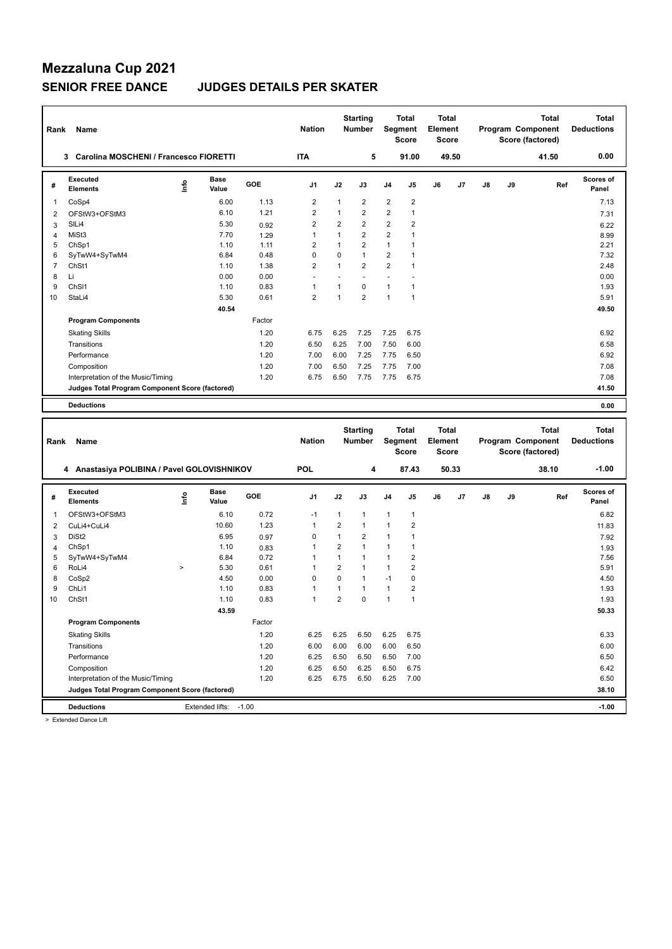## **Mezzaluna Cup 2021**

### **SENIOR FREE DANCE JUDGES DETAILS PER SKATER**

| Rank           | Name                                            |      |                      |              | <b>Nation</b>           |                | <b>Starting</b><br><b>Number</b> |                         | <b>Total</b><br>Segment<br><b>Score</b> | <b>Total</b><br>Element<br><b>Score</b> |       |    |    | Program Component<br>Score (factored) | <b>Total</b> | <b>Total</b><br><b>Deductions</b> |
|----------------|-------------------------------------------------|------|----------------------|--------------|-------------------------|----------------|----------------------------------|-------------------------|-----------------------------------------|-----------------------------------------|-------|----|----|---------------------------------------|--------------|-----------------------------------|
|                | 3 Carolina MOSCHENI / Francesco FIORETTI        |      |                      |              | <b>ITA</b>              |                | 5                                |                         | 91.00                                   |                                         | 49.50 |    |    | 41.50                                 |              | 0.00                              |
| #              | <b>Executed</b><br><b>Elements</b>              | lnfo | <b>Base</b><br>Value | GOE          | J <sub>1</sub>          | J2             | J3                               | J4                      | J5                                      | J6                                      | J7    | J8 | J9 |                                       | Ref          | <b>Scores of</b><br>Panel         |
| 1              | CoSp4                                           |      | 6.00                 | 1.13         | $\overline{\mathbf{c}}$ | 1              | $\overline{\mathbf{c}}$          | $\overline{\mathbf{c}}$ | $\overline{\mathbf{c}}$                 |                                         |       |    |    |                                       |              | 7.13                              |
| $\overline{2}$ | OFStW3+OFStM3                                   |      | 6.10                 | 1.21         | $\overline{2}$          | $\mathbf{1}$   | $\overline{2}$                   | $\overline{2}$          | $\mathbf{1}$                            |                                         |       |    |    |                                       |              | 7.31                              |
| 3              | SILi4                                           |      | 5.30                 | 0.92         | $\overline{2}$          | $\overline{2}$ | $\overline{2}$                   | $\overline{2}$          | 2                                       |                                         |       |    |    |                                       |              | 6.22                              |
| $\overline{4}$ | MiSt3                                           |      | 7.70                 | 1.29         | 1                       | $\mathbf{1}$   | $\overline{2}$                   | 2                       | $\mathbf{1}$                            |                                         |       |    |    |                                       |              | 8.99                              |
| 5              | ChSp1                                           |      | 1.10                 | 1.11         | $\overline{2}$          | $\mathbf{1}$   | $\overline{2}$                   | $\mathbf{1}$            | $\mathbf{1}$                            |                                         |       |    |    |                                       |              | 2.21                              |
| 6              | SyTwW4+SyTwM4                                   |      | 6.84                 | 0.48         | 0                       | 0              | $\mathbf{1}$                     | $\overline{2}$          | $\mathbf{1}$                            |                                         |       |    |    |                                       |              | 7.32                              |
| $\overline{7}$ | ChSt1                                           |      | 1.10                 | 1.38         | $\overline{2}$          | $\mathbf{1}$   | $\overline{2}$                   | $\overline{2}$          | $\mathbf{1}$                            |                                         |       |    |    |                                       |              | 2.48                              |
| 8              | Li                                              |      | 0.00                 | 0.00         | $\blacksquare$          | ٠              | $\blacksquare$                   | $\sim$                  | ÷,                                      |                                         |       |    |    |                                       |              | 0.00                              |
| 9              | ChS <sub>11</sub>                               |      | 1.10                 | 0.83         | 1                       | $\mathbf{1}$   | $\mathbf 0$                      | 1                       | $\mathbf{1}$                            |                                         |       |    |    |                                       |              | 1.93                              |
| 10             | StaLi4                                          |      | 5.30                 | 0.61         | $\overline{2}$          | $\mathbf{1}$   | $\overline{2}$                   | $\mathbf{1}$            | $\mathbf{1}$                            |                                         |       |    |    |                                       |              | 5.91                              |
|                |                                                 |      | 40.54                |              |                         |                |                                  |                         |                                         |                                         |       |    |    |                                       |              | 49.50                             |
|                | <b>Program Components</b>                       |      |                      | Factor       |                         |                |                                  |                         |                                         |                                         |       |    |    |                                       |              |                                   |
|                | <b>Skating Skills</b>                           |      |                      | 1.20         | 6.75                    | 6.25           | 7.25                             | 7.25                    | 6.75                                    |                                         |       |    |    |                                       |              | 6.92                              |
|                | Transitions                                     |      |                      | 1.20         | 6.50                    | 6.25           | 7.00                             | 7.50                    | 6.00                                    |                                         |       |    |    |                                       |              | 6.58                              |
|                | Performance                                     |      |                      | 1.20         | 7.00                    | 6.00           | 7.25                             | 7.75                    | 6.50                                    |                                         |       |    |    |                                       |              | 6.92                              |
|                | Composition                                     |      |                      | 1.20         | 7.00                    | 6.50           | 7.25                             | 7.75                    | 7.00                                    |                                         |       |    |    |                                       |              | 7.08                              |
|                | Interpretation of the Music/Timing              |      |                      | 1.20         | 6.75                    | 6.50           | 7.75                             | 7.75                    | 6.75                                    |                                         |       |    |    |                                       |              | 7.08                              |
|                | Judges Total Program Component Score (factored) |      |                      |              |                         |                |                                  |                         |                                         |                                         |       |    |    |                                       |              | 41.50                             |
|                |                                                 |      |                      |              |                         |                |                                  |                         |                                         |                                         |       |    |    |                                       |              |                                   |
|                | <b>Deductions</b>                               |      |                      |              |                         |                |                                  |                         |                                         |                                         |       |    |    |                                       |              | 0.00                              |
|                |                                                 |      |                      |              |                         |                |                                  |                         |                                         |                                         |       |    |    |                                       |              |                                   |
|                |                                                 |      |                      |              |                         |                |                                  |                         |                                         |                                         |       |    |    |                                       |              |                                   |
|                |                                                 |      |                      |              |                         |                | <b>Starting</b>                  |                         | <b>Total</b>                            | <b>Total</b>                            |       |    |    |                                       | <b>Total</b> | <b>Total</b>                      |
| Rank           | Name                                            |      |                      |              | <b>Nation</b>           |                | <b>Number</b>                    |                         | Segment                                 | Element                                 |       |    |    | Program Component                     |              | <b>Deductions</b>                 |
|                |                                                 |      |                      |              |                         |                |                                  |                         | <b>Score</b>                            | Score                                   |       |    |    | Score (factored)                      |              |                                   |
|                |                                                 |      |                      |              | <b>POL</b>              |                |                                  |                         |                                         |                                         |       |    |    |                                       |              | $-1.00$                           |
|                | 4 Anastasiya POLIBINA / Pavel GOLOVISHNIKOV     |      |                      |              |                         |                | 4                                |                         | 87.43                                   |                                         | 50.33 |    |    | 38.10                                 |              |                                   |
| #              | <b>Executed</b><br><b>Elements</b>              | ١nf٥ | Base<br>Value        | GOE          | J1                      | J2             | J3                               | J4                      | J5                                      | J6                                      | J7    | J8 | J9 |                                       | Ref          | <b>Scores of</b><br>Panel         |
| 1              | OFStW3+OFStM3                                   |      | 6.10                 | 0.72         | $-1$                    | $\mathbf{1}$   | $\mathbf{1}$                     | 1                       | $\mathbf{1}$                            |                                         |       |    |    |                                       |              | 6.82                              |
| $\overline{2}$ | CuLi4+CuLi4                                     |      | 10.60                | 1.23         | 1                       | $\overline{2}$ | $\mathbf{1}$                     | 1                       | $\overline{2}$                          |                                         |       |    |    |                                       |              | 11.83                             |
|                | DiSt <sub>2</sub>                               |      | 6.95                 |              | 0                       | $\mathbf{1}$   | $\overline{2}$                   | 1                       | $\mathbf{1}$                            |                                         |       |    |    |                                       |              |                                   |
| 3              | ChSp1                                           |      | 1.10                 | 0.97         | 1                       | $\overline{2}$ | $\mathbf{1}$                     | 1                       | $\mathbf{1}$                            |                                         |       |    |    |                                       |              | 7.92                              |
| 4<br>5         | SyTwW4+SyTwM4                                   |      | 6.84                 | 0.83<br>0.72 | 1                       | $\mathbf{1}$   | $\mathbf{1}$                     | 1                       | $\overline{\mathbf{c}}$                 |                                         |       |    |    |                                       |              | 1.93<br>7.56                      |
| 6              | RoLi4                                           | $\,$ | 5.30                 | 0.61         | 1                       | $\overline{2}$ | $\mathbf{1}$                     | 1                       | $\overline{\mathbf{c}}$                 |                                         |       |    |    |                                       |              | 5.91                              |
| 8              | CoSp2                                           |      | 4.50                 | 0.00         | 0                       | 0              | $\mathbf{1}$                     | $-1$                    | 0                                       |                                         |       |    |    |                                       |              | 4.50                              |
| 9              | ChLi1                                           |      | 1.10                 | 0.83         | 1                       | $\mathbf{1}$   | $\mathbf{1}$                     | 1                       | $\overline{2}$                          |                                         |       |    |    |                                       |              | 1.93                              |
| 10             | ChSt1                                           |      | 1.10                 | 0.83         | 1                       | $\overline{2}$ | $\mathbf 0$                      | $\mathbf{1}$            | $\mathbf{1}$                            |                                         |       |    |    |                                       |              | 1.93                              |
|                |                                                 |      | 43.59                |              |                         |                |                                  |                         |                                         |                                         |       |    |    |                                       |              | 50.33                             |
|                | <b>Program Components</b>                       |      |                      | Factor       |                         |                |                                  |                         |                                         |                                         |       |    |    |                                       |              |                                   |
|                |                                                 |      |                      |              |                         |                |                                  |                         |                                         |                                         |       |    |    |                                       |              |                                   |
|                | <b>Skating Skills</b>                           |      |                      | 1.20         | 6.25                    | 6.25           | 6.50                             | 6.25                    | 6.75                                    |                                         |       |    |    |                                       |              | 6.33                              |
|                | Transitions                                     |      |                      | 1.20         | 6.00                    | 6.00           | 6.00                             | 6.00                    | 6.50                                    |                                         |       |    |    |                                       |              | 6.00                              |
|                | Performance                                     |      |                      | 1.20         | 6.25                    | 6.50           | 6.50                             | 6.50                    | 7.00                                    |                                         |       |    |    |                                       |              | 6.50                              |
|                | Composition                                     |      |                      | 1.20         | 6.25                    | 6.50           | 6.25                             | 6.50                    | 6.75                                    |                                         |       |    |    |                                       |              | 6.42                              |
|                | Interpretation of the Music/Timing              |      |                      | 1.20         | 6.25                    | 6.75           | 6.50                             | 6.25                    | 7.00                                    |                                         |       |    |    |                                       |              | 6.50                              |
|                | Judges Total Program Component Score (factored) |      |                      |              |                         |                |                                  |                         |                                         |                                         |       |    |    |                                       |              | 38.10                             |

> Extended Dance Lift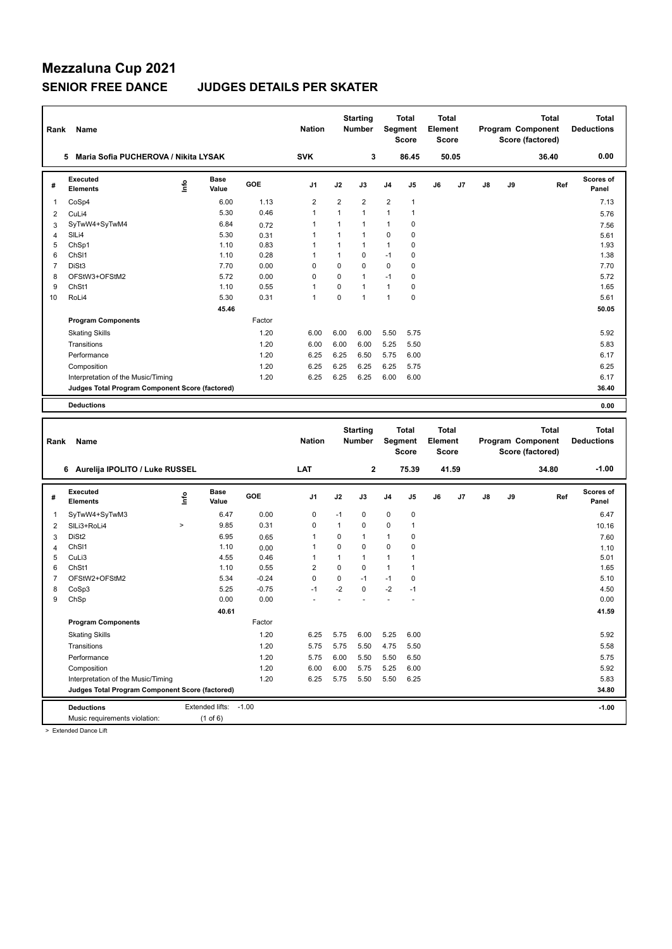## **Mezzaluna Cup 2021**

### **SENIOR FREE DANCE JUDGES DETAILS PER SKATER**

| Rank           | Name                                            |      |                       |         | <b>Nation</b>  |                | <b>Starting</b><br><b>Number</b> |              | Total<br>Segment<br><b>Score</b> | Total<br>Element<br><b>Score</b>        |       |               |    | <b>Total</b><br>Program Component<br>Score (factored) | <b>Total</b><br><b>Deductions</b> |
|----------------|-------------------------------------------------|------|-----------------------|---------|----------------|----------------|----------------------------------|--------------|----------------------------------|-----------------------------------------|-------|---------------|----|-------------------------------------------------------|-----------------------------------|
|                | 5 Maria Sofia PUCHEROVA / Nikita LYSAK          |      |                       |         | <b>SVK</b>     |                | 3                                |              | 86.45                            |                                         | 50.05 |               |    | 36.40                                                 | 0.00                              |
| #              | <b>Executed</b><br><b>Elements</b>              | lnfo | <b>Base</b><br>Value  | GOE     | J1             | J2             | J3                               | J4           | J5                               | J6                                      | J7    | $\mathsf{J}8$ | J9 | Ref                                                   | Scores of<br>Panel                |
| 1              | CoSp4                                           |      | 6.00                  | 1.13    | $\overline{c}$ | 2              | $\overline{2}$                   | 2            | 1                                |                                         |       |               |    |                                                       | 7.13                              |
| $\overline{2}$ | CuLi4                                           |      | 5.30                  | 0.46    | $\mathbf{1}$   | $\mathbf{1}$   | $\mathbf{1}$                     | $\mathbf{1}$ | $\mathbf{1}$                     |                                         |       |               |    |                                                       | 5.76                              |
| 3              | SyTwW4+SyTwM4                                   |      | 6.84                  | 0.72    | $\mathbf{1}$   | $\mathbf{1}$   | $\mathbf{1}$                     | $\mathbf{1}$ | 0                                |                                         |       |               |    |                                                       | 7.56                              |
| $\overline{4}$ | SILi4                                           |      | 5.30                  | 0.31    | 1              | $\mathbf{1}$   | $\mathbf{1}$                     | 0            | 0                                |                                         |       |               |    |                                                       | 5.61                              |
| 5              | ChSp1                                           |      | 1.10                  | 0.83    | 1              | $\mathbf{1}$   | $\mathbf{1}$                     | 1            | 0                                |                                         |       |               |    |                                                       | 1.93                              |
| 6              | ChSI1                                           |      | 1.10                  | 0.28    | 1              | $\mathbf{1}$   | $\mathbf 0$                      | $-1$         | 0                                |                                         |       |               |    |                                                       | 1.38                              |
| $\overline{7}$ | DiSt3                                           |      | 7.70                  | 0.00    | $\mathbf 0$    | 0              | $\mathbf 0$                      | $\mathbf 0$  | 0                                |                                         |       |               |    |                                                       | 7.70                              |
| 8              | OFStW3+OFStM2                                   |      | 5.72                  | 0.00    | $\mathbf 0$    | $\overline{0}$ | $\mathbf{1}$                     | $-1$         | 0                                |                                         |       |               |    |                                                       | 5.72                              |
| 9              | ChSt1                                           |      | 1.10                  | 0.55    | 1              | 0              | $\overline{1}$                   | $\mathbf{1}$ | 0                                |                                         |       |               |    |                                                       | 1.65                              |
| 10             | RoLi4                                           |      | 5.30                  | 0.31    | $\mathbf{1}$   | 0              | $\overline{1}$                   | $\mathbf{1}$ | 0                                |                                         |       |               |    |                                                       | 5.61                              |
|                |                                                 |      | 45.46                 |         |                |                |                                  |              |                                  |                                         |       |               |    |                                                       | 50.05                             |
|                | <b>Program Components</b>                       |      |                       | Factor  |                |                |                                  |              |                                  |                                         |       |               |    |                                                       |                                   |
|                | <b>Skating Skills</b>                           |      |                       | 1.20    | 6.00           | 6.00           | 6.00                             | 5.50         | 5.75                             |                                         |       |               |    |                                                       | 5.92                              |
|                | Transitions                                     |      |                       | 1.20    | 6.00           | 6.00           | 6.00                             | 5.25         | 5.50                             |                                         |       |               |    |                                                       | 5.83                              |
|                | Performance                                     |      |                       | 1.20    | 6.25           | 6.25           | 6.50                             | 5.75         | 6.00                             |                                         |       |               |    |                                                       | 6.17                              |
|                | Composition                                     |      |                       | 1.20    | 6.25           | 6.25           | 6.25                             | 6.25         | 5.75                             |                                         |       |               |    |                                                       | 6.25                              |
|                | Interpretation of the Music/Timing              |      |                       | 1.20    | 6.25           | 6.25           | 6.25                             | 6.00         | 6.00                             |                                         |       |               |    |                                                       | 6.17                              |
|                | Judges Total Program Component Score (factored) |      |                       |         |                |                |                                  |              |                                  |                                         |       |               |    |                                                       | 36.40                             |
|                | <b>Deductions</b>                               |      |                       |         |                |                |                                  |              |                                  |                                         |       |               |    |                                                       | 0.00                              |
|                |                                                 |      |                       |         |                |                |                                  |              |                                  |                                         |       |               |    |                                                       |                                   |
|                |                                                 |      |                       |         |                |                |                                  |              |                                  |                                         |       |               |    |                                                       |                                   |
| Rank           | Name                                            |      |                       |         | <b>Nation</b>  |                | <b>Starting</b><br><b>Number</b> |              | <b>Total</b><br>Segment<br>Score | <b>Total</b><br><b>Element</b><br>Score |       |               |    | <b>Total</b><br>Program Component<br>Score (factored) | <b>Total</b><br><b>Deductions</b> |
|                | 6 Aurelija IPOLITO / Luke RUSSEL                |      |                       |         | LAT            |                | $\mathbf 2$                      |              | 75.39                            |                                         | 41.59 |               |    | 34.80                                                 | $-1.00$                           |
|                |                                                 |      |                       |         |                |                |                                  |              |                                  |                                         |       |               |    |                                                       |                                   |
| #              | <b>Executed</b><br><b>Elements</b>              | ١nf٥ | <b>Base</b><br>Value  | GOE     | J <sub>1</sub> | J2             | J3                               | J4           | J5                               | J6                                      | J7    | J8            | J9 | Ref                                                   | <b>Scores of</b><br>Panel         |
| 1              | SyTwW4+SyTwM3                                   |      | 6.47                  | 0.00    | 0              | $-1$           | $\mathbf 0$                      | $\pmb{0}$    | 0                                |                                         |       |               |    |                                                       | 6.47                              |
| $\overline{2}$ | SILi3+RoLi4                                     | $\,$ | 9.85                  | 0.31    | $\mathbf 0$    | $\mathbf{1}$   | $\mathbf 0$                      | $\mathbf 0$  | $\mathbf{1}$                     |                                         |       |               |    |                                                       | 10.16                             |
| 3              | DiSt <sub>2</sub>                               |      | 6.95                  | 0.65    | 1              | 0              | 1                                | 1            | 0                                |                                         |       |               |    |                                                       | 7.60                              |
| $\overline{4}$ | ChS <sub>11</sub>                               |      | 1.10                  | 0.00    | 1              | 0              | $\mathbf 0$                      | $\mathbf 0$  | 0                                |                                         |       |               |    |                                                       | 1.10                              |
| 5              | CuLi3                                           |      | 4.55                  | 0.46    | $\mathbf{1}$   | $\mathbf{1}$   | $\mathbf{1}$                     | $\mathbf{1}$ | 1                                |                                         |       |               |    |                                                       | 5.01                              |
| 6              | ChSt1                                           |      | 1.10                  | 0.55    | $\overline{c}$ | 0              | $\mathbf 0$                      | $\mathbf{1}$ | 1                                |                                         |       |               |    |                                                       | 1.65                              |
| 7              | OFStW2+OFStM2                                   |      | 5.34                  | $-0.24$ | $\mathbf 0$    | 0              | $-1$                             | $-1$         | 0                                |                                         |       |               |    |                                                       | 5.10                              |
| 8              | CoSp3                                           |      | 5.25                  | $-0.75$ | $-1$           | -2             | $\mathbf 0$                      | $-2$         | $-1$                             |                                         |       |               |    |                                                       | 4.50                              |
| 9              | ChSp                                            |      | 0.00                  | 0.00    |                |                |                                  |              | ä,                               |                                         |       |               |    |                                                       | 0.00                              |
|                |                                                 |      | 40.61                 |         |                |                |                                  |              |                                  |                                         |       |               |    |                                                       | 41.59                             |
|                | <b>Program Components</b>                       |      |                       | Factor  |                |                |                                  |              |                                  |                                         |       |               |    |                                                       |                                   |
|                | <b>Skating Skills</b>                           |      |                       | 1.20    | 6.25           | 5.75           | 6.00                             | 5.25         | 6.00                             |                                         |       |               |    |                                                       | 5.92                              |
|                | Transitions                                     |      |                       | 1.20    | 5.75           | 5.75           | 5.50                             | 4.75         | 5.50                             |                                         |       |               |    |                                                       | 5.58                              |
|                | Performance                                     |      |                       | 1.20    | 5.75           | 6.00           | 5.50                             | 5.50         | 6.50                             |                                         |       |               |    |                                                       | 5.75                              |
|                | Composition                                     |      |                       | 1.20    | 6.00           | 6.00           | 5.75                             | 5.25         | 6.00                             |                                         |       |               |    |                                                       | 5.92                              |
|                | Interpretation of the Music/Timing              |      |                       | 1.20    | 6.25           | 5.75           | 5.50                             | 5.50         | 6.25                             |                                         |       |               |    |                                                       | 5.83                              |
|                | Judges Total Program Component Score (factored) |      |                       |         |                |                |                                  |              |                                  |                                         |       |               |    |                                                       | 34.80                             |
|                | <b>Deductions</b>                               |      | Extended lifts: -1.00 |         |                |                |                                  |              |                                  |                                         |       |               |    |                                                       | $-1.00$                           |

> Extended Dance Lift